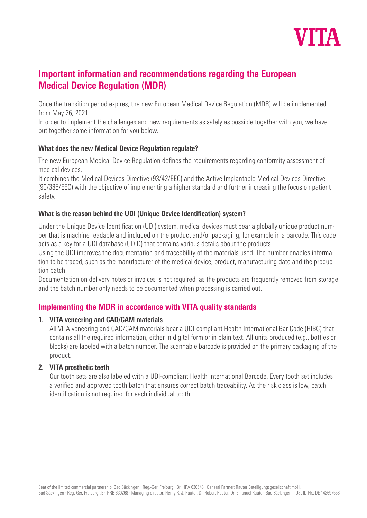

# **Important information and recommendations regarding the European Medical Device Regulation (MDR)**

Once the transition period expires, the new European Medical Device Regulation (MDR) will be implemented from May 26, 2021.

In order to implement the challenges and new requirements as safely as possible together with you, we have put together some information for you below.

### **What does the new Medical Device Regulation regulate?**

The new European Medical Device Regulation defines the requirements regarding conformity assessment of medical devices.

It combines the Medical Devices Directive (93/42/EEC) and the Active Implantable Medical Devices Directive (90/385/EEC) with the objective of implementing a higher standard and further increasing the focus on patient safety.

### **What is the reason behind the UDI (Unique Device Identification) system?**

Under the Unique Device Identification (UDI) system, medical devices must bear a globally unique product number that is machine readable and included on the product and/or packaging, for example in a barcode. This code acts as a key for a UDI database (UDID) that contains various details about the products.

Using the UDI improves the documentation and traceability of the materials used. The number enables information to be traced, such as the manufacturer of the medical device, product, manufacturing date and the production batch.

Documentation on delivery notes or invoices is not required, as the products are frequently removed from storage and the batch number only needs to be documented when processing is carried out.

### **Implementing the MDR in accordance with VITA quality standards**

### **1. VITA veneering and CAD/CAM materials**

All VITA veneering and CAD/CAM materials bear a UDI-compliant Health International Bar Code (HIBC) that contains all the required information, either in digital form or in plain text. All units produced (e.g., bottles or blocks) are labeled with a batch number. The scannable barcode is provided on the primary packaging of the product.

### **2. VITA prosthetic teeth**

Our tooth sets are also labeled with a UDI-compliant Health International Barcode. Every tooth set includes a verified and approved tooth batch that ensures correct batch traceability. As the risk class is low, batch identification is not required for each individual tooth.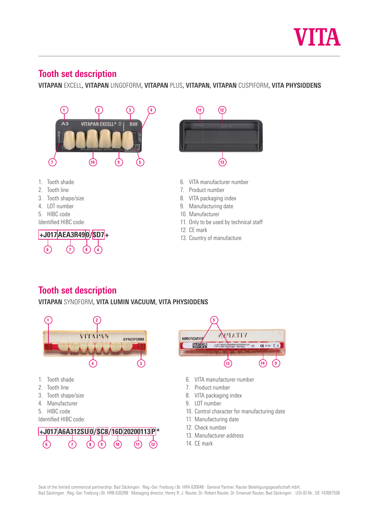

# **Beschreibung Zahngarn zur Zahngarnitur Zahngarnitur zur Einzugerung zur Einzugerung zur Einzugerung zur Einzugerung**

**VITAPAN** EXCELL, **VITA** LINGOFORM, **VITAPAN** PLUS, **VITAPAN**, **VITAPAN** CUSPIFORM **Beschreibung Zahngarnitur** <mark>VITAPAN</mark> EXCELL**, VITAPAN** LINGOFORM**, VITAPAN** PLUS**, VITAPAN, VITAPAN** CUSPIFORM**, VITA PHYSIODENS** 



# **Beschreibung Zahngarniture**

**IOOLII SEL QESCIIPUOII<br>VITAPAN** SYNOFORM, VIT<mark>A LUMIN VACUUM, VITA</mark> I **VITAPAN** SYNOFORM, **LUMIN VACUUM VITAPAN** SYNOFORM, **LUMIN VACUUM VITAPAN** SYNOFORM**, VITA LUMIN VACUUM, VITA PHYSIODENS**



 $C E 0124 \frac{1}{9}$  8